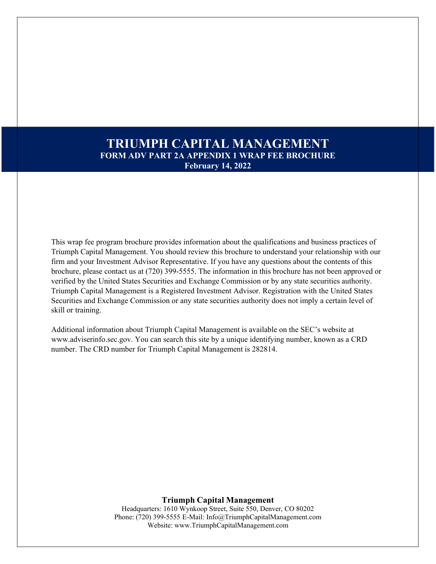# **TRIUMPH CAPITAL MANAGEMENT FORM ADV PART 2A APPENDIX 1 WRAP FEE BROCHURE February 14, 2022**

This wrap fee program brochure provides information about the qualifications and business practices of Triumph Capital Management. You should review this brochure to understand your relationship with our firm and your Investment Advisor Representative. If you have any questions about the contents of this brochure, please contact us at (720) 399-5555. The information in this brochure has not been approved or verified by the United States Securities and Exchange Commission or by any state securities authority. Triumph Capital Management is a Registered Investment Advisor. Registration with the United States Securities and Exchange Commission or any state securities authority does not imply a certain level of skill or training.

Additional information about Triumph Capital Management is available on the SEC's website at [www.adviserinfo.sec.gov.](http://www.adviserinfo.sec.gov/) You can search this site by a unique identifying number, known as a CRD number. The CRD number for Triumph Capital Management is 282814.

**Triumph Capital Management**

Headquarters: 1610 Wynkoop Street, Suite 550, Denver, CO 80202 Phone: (720) 399-5555 E-Mail: [Info@TriumphCapitalManagement.com](mailto:Info@TriumphCapitalManagement.com) Website: [www.TriumphCapitalManagement.com](http://www.triumphcapitalmanagement.com/)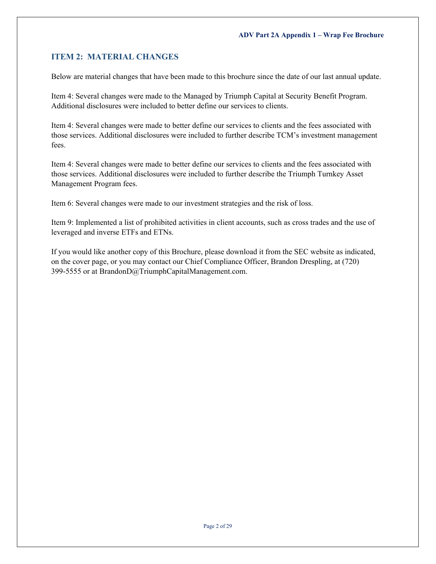## <span id="page-1-0"></span>**ITEM 2: MATERIAL CHANGES**

Below are material changes that have been made to this brochure since the date of our last annual update.

Item 4: Several changes were made to the Managed by Triumph Capital at Security Benefit Program. Additional disclosures were included to better define our services to clients.

Item 4: Several changes were made to better define our services to clients and the fees associated with those services. Additional disclosures were included to further describe TCM's investment management fees.

Item 4: Several changes were made to better define our services to clients and the fees associated with those services. Additional disclosures were included to further describe the Triumph Turnkey Asset Management Program fees.

Item 6: Several changes were made to our investment strategies and the risk of loss.

Item 9: Implemented a list of prohibited activities in client accounts, such as cross trades and the use of leveraged and inverse ETFs and ETNs.

If you would like another copy of this Brochure, please download it from the SEC website as indicated, on the cover page, or you may contact our Chief Compliance Officer, Brandon Drespling, at (720) 399-5555 or at [BrandonD@TriumphCapitalManagement.com.](mailto:BrandonD@TriumphCapitalManagement.com)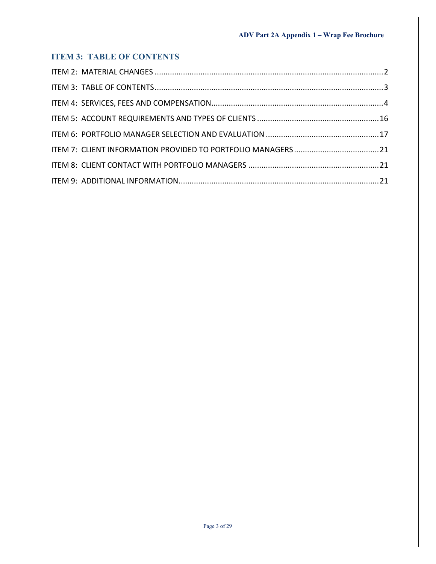# <span id="page-2-0"></span>**ITEM 3: TABLE OF CONTENTS**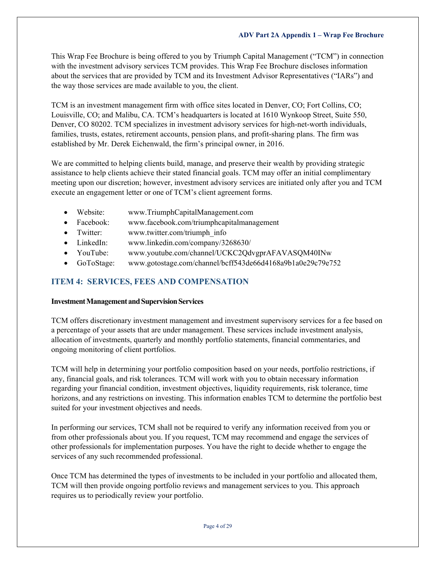This Wrap Fee Brochure is being offered to you by Triumph Capital Management ("TCM") in connection with the investment advisory services TCM provides. This Wrap Fee Brochure discloses information about the services that are provided by TCM and its Investment Advisor Representatives ("IARs") and the way those services are made available to you, the client.

TCM is an investment management firm with office sites located in Denver, CO; Fort Collins, CO; Louisville, CO; and Malibu, CA. TCM's headquarters is located at 1610 Wynkoop Street, Suite 550, Denver, CO 80202. TCM specializes in investment advisory services for high-net-worth individuals, families, trusts, estates, retirement accounts, pension plans, and profit-sharing plans. The firm was established by Mr. Derek Eichenwald, the firm's principal owner, in 2016.

We are committed to helping clients build, manage, and preserve their wealth by providing strategic assistance to help clients achieve their stated financial goals. TCM may offer an initial complimentary meeting upon our discretion; however, investment advisory services are initiated only after you and TCM execute an engagement letter or one of TCM's client agreement forms.

- Website: [www.TriumphCapitalManagement.com](http://www.triumphcapitalmanagement.com/)
- Facebook: [www.facebook.com/triumphcapitalmanagement](http://www.facebook.com/triumphcapitalmanagement)
- Twitter: [www.twitter.com/triumph\\_info](http://www.twitter.com/triumph_info)
- LinkedIn: [www.linkedin.com/company/3268630/](https://www.linkedin.com/company/3268630/)
- YouTube: [www.youtube.com/channel/UCKC2QdvgprAFAVASQM40INw](https://www.youtube.com/channel/UCKC2QdvgprAFAVASQM40INw)
- GoToStage: [www.gotostage.com/channel/bcff543de66d4168a9b1a0e29c79e752](http://www.gotostage.com/channel/bcff543de66d4168a9b1a0e29c79e752)

## <span id="page-3-0"></span>**ITEM 4: SERVICES, FEES AND COMPENSATION**

## **Investment Management and Supervision Services**

TCM offers discretionary investment management and investment supervisory services for a fee based on a percentage of your assets that are under management. These services include investment analysis, allocation of investments, quarterly and monthly portfolio statements, financial commentaries, and ongoing monitoring of client portfolios.

TCM will help in determining your portfolio composition based on your needs, portfolio restrictions, if any, financial goals, and risk tolerances. TCM will work with you to obtain necessary information regarding your financial condition, investment objectives, liquidity requirements, risk tolerance, time horizons, and any restrictions on investing. This information enables TCM to determine the portfolio best suited for your investment objectives and needs.

In performing our services, TCM shall not be required to verify any information received from you or from other professionals about you. If you request, TCM may recommend and engage the services of other professionals for implementation purposes. You have the right to decide whether to engage the services of any such recommended professional.

Once TCM has determined the types of investments to be included in your portfolio and allocated them, TCM will then provide ongoing portfolio reviews and management services to you. This approach requires us to periodically review your portfolio.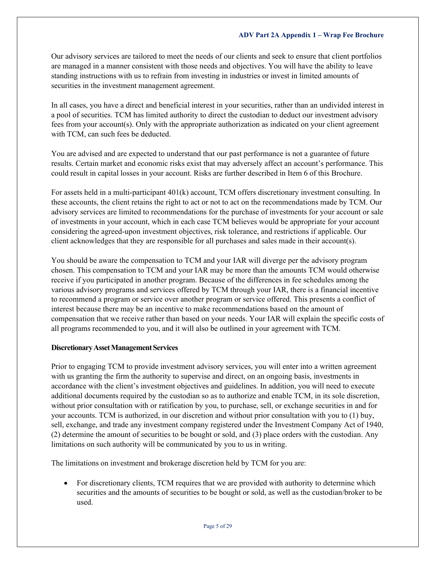Our advisory services are tailored to meet the needs of our clients and seek to ensure that client portfolios are managed in a manner consistent with those needs and objectives. You will have the ability to leave standing instructions with us to refrain from investing in industries or invest in limited amounts of securities in the investment management agreement.

In all cases, you have a direct and beneficial interest in your securities, rather than an undivided interest in a pool of securities. TCM has limited authority to direct the custodian to deduct our investment advisory fees from your account(s). Only with the appropriate authorization as indicated on your client agreement with TCM, can such fees be deducted.

You are advised and are expected to understand that our past performance is not a guarantee of future results. Certain market and economic risks exist that may adversely affect an account's performance. This could result in capital losses in your account. Risks are further described in Item 6 of this Brochure.

For assets held in a multi-participant 401(k) account, TCM offers discretionary investment consulting. In these accounts, the client retains the right to act or not to act on the recommendations made by TCM. Our advisory services are limited to recommendations for the purchase of investments for your account or sale of investments in your account, which in each case TCM believes would be appropriate for your account considering the agreed-upon investment objectives, risk tolerance, and restrictions if applicable. Our client acknowledges that they are responsible for all purchases and sales made in their account(s).

You should be aware the compensation to TCM and your IAR will diverge per the advisory program chosen. This compensation to TCM and your IAR may be more than the amounts TCM would otherwise receive if you participated in another program. Because of the differences in fee schedules among the various advisory programs and services offered by TCM through your IAR, there is a financial incentive to recommend a program or service over another program or service offered. This presents a conflict of interest because there may be an incentive to make recommendations based on the amount of compensation that we receive rather than based on your needs. Your IAR will explain the specific costs of all programs recommended to you, and it will also be outlined in your agreement with TCM.

## **Discretionary Asset Management Services**

Prior to engaging TCM to provide investment advisory services, you will enter into a written agreement with us granting the firm the authority to supervise and direct, on an ongoing basis, investments in accordance with the client's investment objectives and guidelines. In addition, you will need to execute additional documents required by the custodian so as to authorize and enable TCM, in its sole discretion, without prior consultation with or ratification by you, to purchase, sell, or exchange securities in and for your accounts. TCM is authorized, in our discretion and without prior consultation with you to (1) buy, sell, exchange, and trade any investment company registered under the Investment Company Act of 1940, (2) determine the amount of securities to be bought or sold, and (3) place orders with the custodian. Any limitations on such authority will be communicated by you to us in writing.

The limitations on investment and brokerage discretion held by TCM for you are:

• For discretionary clients, TCM requires that we are provided with authority to determine which securities and the amounts of securities to be bought or sold, as well as the custodian/broker to be used.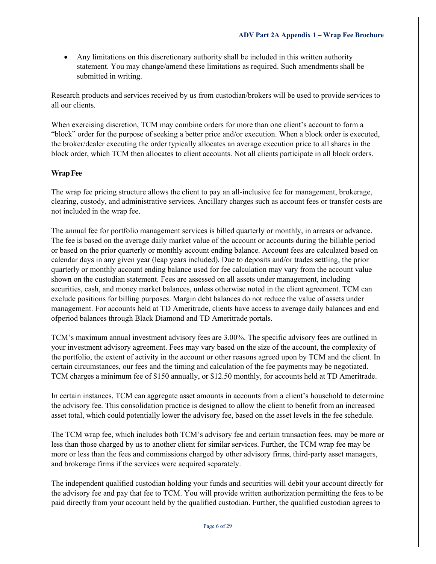• Any limitations on this discretionary authority shall be included in this written authority statement. You may change/amend these limitations as required. Such amendments shall be submitted in writing.

Research products and services received by us from custodian/brokers will be used to provide services to all our clients.

When exercising discretion, TCM may combine orders for more than one client's account to form a "block" order for the purpose of seeking a better price and/or execution. When a block order is executed, the broker/dealer executing the order typically allocates an average execution price to all shares in the block order, which TCM then allocates to client accounts. Not all clients participate in all block orders.

## **WrapFee**

The wrap fee pricing structure allows the client to pay an all-inclusive fee for management, brokerage, clearing, custody, and administrative services. Ancillary charges such as account fees or transfer costs are not included in the wrap fee.

The annual fee for portfolio management services is billed quarterly or monthly, in arrears or advance. The fee is based on the average daily market value of the account or accounts during the billable period or based on the prior quarterly or monthly account ending balance. Account fees are calculated based on calendar days in any given year (leap years included). Due to deposits and/or trades settling, the prior quarterly or monthly account ending balance used for fee calculation may vary from the account value shown on the custodian statement. Fees are assessed on all assets under management, including securities, cash, and money market balances, unless otherwise noted in the client agreement. TCM can exclude positions for billing purposes. Margin debt balances do not reduce the value of assets under management. For accounts held at TD Ameritrade, clients have access to average daily balances and end ofperiod balances through Black Diamond and TD Ameritrade portals.

TCM's maximum annual investment advisory fees are 3.00%. The specific advisory fees are outlined in your investment advisory agreement. Fees may vary based on the size of the account, the complexity of the portfolio, the extent of activity in the account or other reasons agreed upon by TCM and the client. In certain circumstances, our fees and the timing and calculation of the fee payments may be negotiated. TCM charges a minimum fee of \$150 annually, or \$12.50 monthly, for accounts held at TD Ameritrade.

In certain instances, TCM can aggregate asset amounts in accounts from a client's household to determine the advisory fee. This consolidation practice is designed to allow the client to benefit from an increased asset total, which could potentially lower the advisory fee, based on the asset levels in the fee schedule.

The TCM wrap fee, which includes both TCM's advisory fee and certain transaction fees, may be more or less than those charged by us to another client for similar services. Further, the TCM wrap fee may be more or less than the fees and commissions charged by other advisory firms, third-party asset managers, and brokerage firms if the services were acquired separately.

The independent qualified custodian holding your funds and securities will debit your account directly for the advisory fee and pay that fee to TCM. You will provide written authorization permitting the fees to be paid directly from your account held by the qualified custodian. Further, the qualified custodian agrees to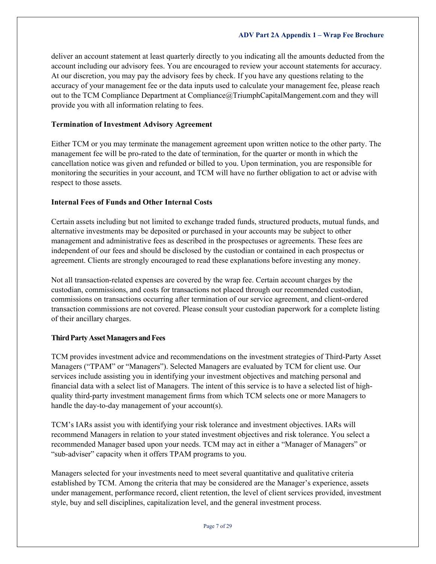deliver an account statement at least quarterly directly to you indicating all the amounts deducted from the account including our advisory fees. You are encouraged to review your account statements for accuracy. At our discretion, you may pay the advisory fees by check. If you have any questions relating to the accuracy of your management fee or the data inputs used to calculate your management fee, please reach out to the TCM Compliance Department at [Compliance@TriumphCapitalMangement.com](mailto:Compliance@TriumphCapitalMangement.com) and they will provide you with all information relating to fees.

## **Termination of Investment Advisory Agreement**

Either TCM or you may terminate the management agreement upon written notice to the other party. The management fee will be pro-rated to the date of termination, for the quarter or month in which the cancellation notice was given and refunded or billed to you. Upon termination, you are responsible for monitoring the securities in your account, and TCM will have no further obligation to act or advise with respect to those assets.

## **Internal Fees of Funds and Other Internal Costs**

Certain assets including but not limited to exchange traded funds, structured products, mutual funds, and alternative investments may be deposited or purchased in your accounts may be subject to other management and administrative fees as described in the prospectuses or agreements. These fees are independent of our fees and should be disclosed by the custodian or contained in each prospectus or agreement. Clients are strongly encouraged to read these explanations before investing any money.

Not all transaction-related expenses are covered by the wrap fee. Certain account charges by the custodian, commissions, and costs for transactions not placed through our recommended custodian, commissions on transactions occurring after termination of our service agreement, and client-ordered transaction commissions are not covered. Please consult your custodian paperwork for a complete listing of their ancillary charges.

## **Third Party Asset Managers and Fees**

TCM provides investment advice and recommendations on the investment strategies of Third-Party Asset Managers ("TPAM" or "Managers"). Selected Managers are evaluated by TCM for client use. Our services include assisting you in identifying your investment objectives and matching personal and financial data with a select list of Managers. The intent of this service is to have a selected list of highquality third-party investment management firms from which TCM selects one or more Managers to handle the day-to-day management of your account(s).

TCM's IARs assist you with identifying your risk tolerance and investment objectives. IARs will recommend Managers in relation to your stated investment objectives and risk tolerance. You select a recommended Manager based upon your needs. TCM may act in either a "Manager of Managers" or "sub-adviser" capacity when it offers TPAM programs to you.

Managers selected for your investments need to meet several quantitative and qualitative criteria established by TCM. Among the criteria that may be considered are the Manager's experience, assets under management, performance record, client retention, the level of client services provided, investment style, buy and sell disciplines, capitalization level, and the general investment process.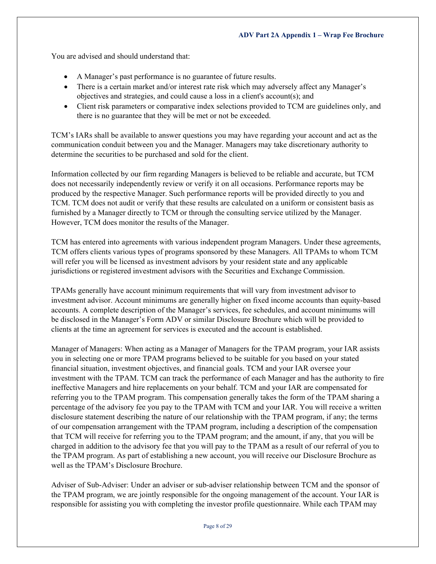You are advised and should understand that:

- A Manager's past performance is no guarantee of future results.
- There is a certain market and/or interest rate risk which may adversely affect any Manager's objectives and strategies, and could cause a loss in a client's account(s); and
- Client risk parameters or comparative index selections provided to TCM are guidelines only, and there is no guarantee that they will be met or not be exceeded.

TCM's IARs shall be available to answer questions you may have regarding your account and act as the communication conduit between you and the Manager. Managers may take discretionary authority to determine the securities to be purchased and sold for the client.

Information collected by our firm regarding Managers is believed to be reliable and accurate, but TCM does not necessarily independently review or verify it on all occasions. Performance reports may be produced by the respective Manager. Such performance reports will be provided directly to you and TCM. TCM does not audit or verify that these results are calculated on a uniform or consistent basis as furnished by a Manager directly to TCM or through the consulting service utilized by the Manager. However, TCM does monitor the results of the Manager.

TCM has entered into agreements with various independent program Managers. Under these agreements, TCM offers clients various types of programs sponsored by these Managers. All TPAMs to whom TCM will refer you will be licensed as investment advisors by your resident state and any applicable jurisdictions or registered investment advisors with the Securities and Exchange Commission.

TPAMs generally have account minimum requirements that will vary from investment advisor to investment advisor. Account minimums are generally higher on fixed income accounts than equity-based accounts. A complete description of the Manager's services, fee schedules, and account minimums will be disclosed in the Manager's Form ADV or similar Disclosure Brochure which will be provided to clients at the time an agreement for services is executed and the account is established.

Manager of Managers: When acting as a Manager of Managers for the TPAM program, your IAR assists you in selecting one or more TPAM programs believed to be suitable for you based on your stated financial situation, investment objectives, and financial goals. TCM and your IAR oversee your investment with the TPAM. TCM can track the performance of each Manager and has the authority to fire ineffective Managers and hire replacements on your behalf. TCM and your IAR are compensated for referring you to the TPAM program. This compensation generally takes the form of the TPAM sharing a percentage of the advisory fee you pay to the TPAM with TCM and your IAR. You will receive a written disclosure statement describing the nature of our relationship with the TPAM program, if any; the terms of our compensation arrangement with the TPAM program, including a description of the compensation that TCM will receive for referring you to the TPAM program; and the amount, if any, that you will be charged in addition to the advisory fee that you will pay to the TPAM as a result of our referral of you to the TPAM program. As part of establishing a new account, you will receive our Disclosure Brochure as well as the TPAM's Disclosure Brochure.

Adviser of Sub-Adviser: Under an adviser or sub-adviser relationship between TCM and the sponsor of the TPAM program, we are jointly responsible for the ongoing management of the account. Your IAR is responsible for assisting you with completing the investor profile questionnaire. While each TPAM may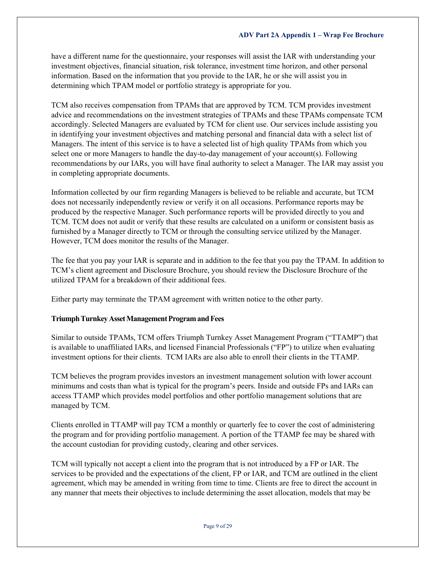have a different name for the questionnaire, your responses will assist the IAR with understanding your investment objectives, financial situation, risk tolerance, investment time horizon, and other personal information. Based on the information that you provide to the IAR, he or she will assist you in determining which TPAM model or portfolio strategy is appropriate for you.

TCM also receives compensation from TPAMs that are approved by TCM. TCM provides investment advice and recommendations on the investment strategies of TPAMs and these TPAMs compensate TCM accordingly. Selected Managers are evaluated by TCM for client use. Our services include assisting you in identifying your investment objectives and matching personal and financial data with a select list of Managers. The intent of this service is to have a selected list of high quality TPAMs from which you select one or more Managers to handle the day-to-day management of your account(s). Following recommendations by our IARs, you will have final authority to select a Manager. The IAR may assist you in completing appropriate documents.

Information collected by our firm regarding Managers is believed to be reliable and accurate, but TCM does not necessarily independently review or verify it on all occasions. Performance reports may be produced by the respective Manager. Such performance reports will be provided directly to you and TCM. TCM does not audit or verify that these results are calculated on a uniform or consistent basis as furnished by a Manager directly to TCM or through the consulting service utilized by the Manager. However, TCM does monitor the results of the Manager.

The fee that you pay your IAR is separate and in addition to the fee that you pay the TPAM. In addition to TCM's client agreement and Disclosure Brochure, you should review the Disclosure Brochure of the utilized TPAM for a breakdown of their additional fees.

Either party may terminate the TPAM agreement with written notice to the other party.

## **Triumph Turnkey Asset Management Program and Fees**

Similar to outside TPAMs, TCM offers Triumph Turnkey Asset Management Program ("TTAMP") that is available to unaffiliated IARs, and licensed Financial Professionals ("FP") to utilize when evaluating investment options for their clients. TCM IARs are also able to enroll their clients in the TTAMP.

TCM believes the program provides investors an investment management solution with lower account minimums and costs than what is typical for the program's peers. Inside and outside FPs and IARs can access TTAMP which provides model portfolios and other portfolio management solutions that are managed by TCM.

Clients enrolled in TTAMP will pay TCM a monthly or quarterly fee to cover the cost of administering the program and for providing portfolio management. A portion of the TTAMP fee may be shared with the account custodian for providing custody, clearing and other services.

TCM will typically not accept a client into the program that is not introduced by a FP or IAR. The services to be provided and the expectations of the client, FP or IAR, and TCM are outlined in the client agreement, which may be amended in writing from time to time. Clients are free to direct the account in any manner that meets their objectives to include determining the asset allocation, models that may be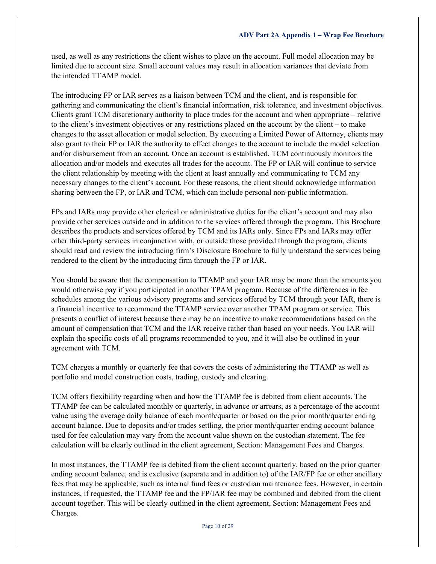used, as well as any restrictions the client wishes to place on the account. Full model allocation may be limited due to account size. Small account values may result in allocation variances that deviate from the intended TTAMP model.

The introducing FP or IAR serves as a liaison between TCM and the client, and is responsible for gathering and communicating the client's financial information, risk tolerance, and investment objectives. Clients grant TCM discretionary authority to place trades for the account and when appropriate – relative to the client's investment objectives or any restrictions placed on the account by the client – to make changes to the asset allocation or model selection. By executing a Limited Power of Attorney, clients may also grant to their FP or IAR the authority to effect changes to the account to include the model selection and/or disbursement from an account. Once an account is established, TCM continuously monitors the allocation and/or models and executes all trades for the account. The FP or IAR will continue to service the client relationship by meeting with the client at least annually and communicating to TCM any necessary changes to the client's account. For these reasons, the client should acknowledge information sharing between the FP, or IAR and TCM, which can include personal non-public information.

FPs and IARs may provide other clerical or administrative duties for the client's account and may also provide other services outside and in addition to the services offered through the program. This Brochure describes the products and services offered by TCM and its IARs only. Since FPs and IARs may offer other third-party services in conjunction with, or outside those provided through the program, clients should read and review the introducing firm's Disclosure Brochure to fully understand the services being rendered to the client by the introducing firm through the FP or IAR.

You should be aware that the compensation to TTAMP and your IAR may be more than the amounts you would otherwise pay if you participated in another TPAM program. Because of the differences in fee schedules among the various advisory programs and services offered by TCM through your IAR, there is a financial incentive to recommend the TTAMP service over another TPAM program or service. This presents a conflict of interest because there may be an incentive to make recommendations based on the amount of compensation that TCM and the IAR receive rather than based on your needs. You IAR will explain the specific costs of all programs recommended to you, and it will also be outlined in your agreement with TCM.

TCM charges a monthly or quarterly fee that covers the costs of administering the TTAMP as well as portfolio and model construction costs, trading, custody and clearing.

TCM offers flexibility regarding when and how the TTAMP fee is debited from client accounts. The TTAMP fee can be calculated monthly or quarterly, in advance or arrears, as a percentage of the account value using the average daily balance of each month/quarter or based on the prior month/quarter ending account balance. Due to deposits and/or trades settling, the prior month/quarter ending account balance used for fee calculation may vary from the account value shown on the custodian statement. The fee calculation will be clearly outlined in the client agreement, Section: Management Fees and Charges.

In most instances, the TTAMP fee is debited from the client account quarterly, based on the prior quarter ending account balance, and is exclusive (separate and in addition to) of the IAR/FP fee or other ancillary fees that may be applicable, such as internal fund fees or custodian maintenance fees. However, in certain instances, if requested, the TTAMP fee and the FP/IAR fee may be combined and debited from the client account together. This will be clearly outlined in the client agreement, Section: Management Fees and Charges.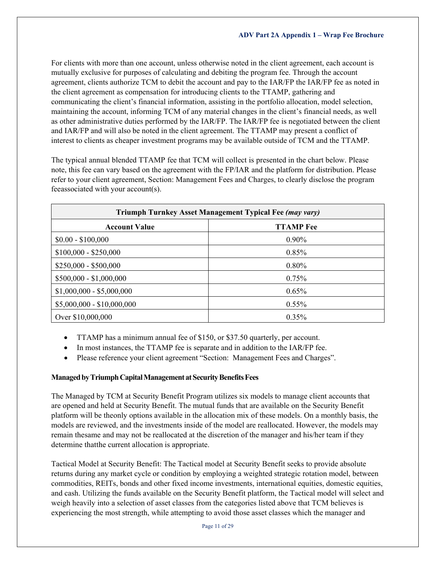For clients with more than one account, unless otherwise noted in the client agreement, each account is mutually exclusive for purposes of calculating and debiting the program fee. Through the account agreement, clients authorize TCM to debit the account and pay to the IAR/FP the IAR/FP fee as noted in the client agreement as compensation for introducing clients to the TTAMP, gathering and communicating the client's financial information, assisting in the portfolio allocation, model selection, maintaining the account, informing TCM of any material changes in the client's financial needs, as well as other administrative duties performed by the IAR/FP. The IAR/FP fee is negotiated between the client and IAR/FP and will also be noted in the client agreement. The TTAMP may present a conflict of interest to clients as cheaper investment programs may be available outside of TCM and the TTAMP.

The typical annual blended TTAMP fee that TCM will collect is presented in the chart below. Please note, this fee can vary based on the agreement with the FP/IAR and the platform for distribution. Please refer to your client agreement, Section: Management Fees and Charges, to clearly disclose the program feeassociated with your account(s).

| Triumph Turnkey Asset Management Typical Fee (may vary) |                  |  |  |
|---------------------------------------------------------|------------------|--|--|
| <b>Account Value</b>                                    | <b>TTAMP</b> Fee |  |  |
| $$0.00 - $100,000$                                      | $0.90\%$         |  |  |
| $$100,000 - $250,000$                                   | 0.85%            |  |  |
| $$250,000 - $500,000$                                   | 0.80%            |  |  |
| $$500,000 - $1,000,000$                                 | 0.75%            |  |  |
| $$1,000,000 - $5,000,000$                               | 0.65%            |  |  |
| $$5,000,000 - $10,000,000$                              | $0.55\%$         |  |  |
| Over \$10,000,000                                       | 0.35%            |  |  |

- TTAMP has a minimum annual fee of \$150, or \$37.50 quarterly, per account.
- In most instances, the TTAMP fee is separate and in addition to the IAR/FP fee.
- Please reference your client agreement "Section: Management Fees and Charges".

## **ManagedbyTriumphCapitalManagementatSecurityBenefitsFees**

The Managed by TCM at Security Benefit Program utilizes six models to manage client accounts that are opened and held at Security Benefit. The mutual funds that are available on the Security Benefit platform will be theonly options available in the allocation mix of these models. On a monthly basis, the models are reviewed, and the investments inside of the model are reallocated. However, the models may remain thesame and may not be reallocated at the discretion of the manager and his/her team if they determine thatthe current allocation is appropriate.

Tactical Model at Security Benefit: The Tactical model at Security Benefit seeks to provide absolute returns during any market cycle or condition by employing a weighted strategic rotation model, between commodities, REITs, bonds and other fixed income investments, international equities, domestic equities, and cash. Utilizing the funds available on the Security Benefit platform, the Tactical model will select and weigh heavily into a selection of asset classes from the categories listed above that TCM believes is experiencing the most strength, while attempting to avoid those asset classes which the manager and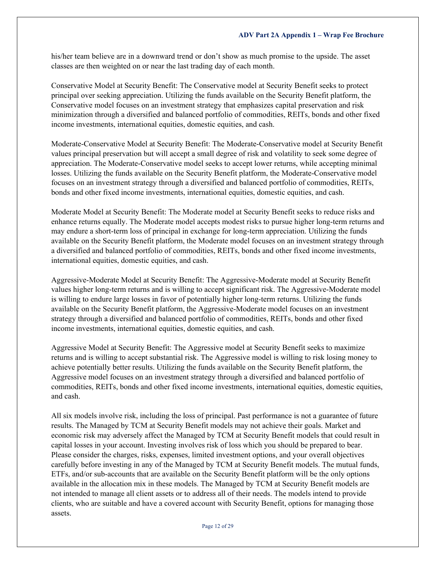his/her team believe are in a downward trend or don't show as much promise to the upside. The asset classes are then weighted on or near the last trading day of each month.

Conservative Model at Security Benefit: The Conservative model at Security Benefit seeks to protect principal over seeking appreciation. Utilizing the funds available on the Security Benefit platform, the Conservative model focuses on an investment strategy that emphasizes capital preservation and risk minimization through a diversified and balanced portfolio of commodities, REITs, bonds and other fixed income investments, international equities, domestic equities, and cash.

Moderate-Conservative Model at Security Benefit: The Moderate-Conservative model at Security Benefit values principal preservation but will accept a small degree of risk and volatility to seek some degree of appreciation. The Moderate-Conservative model seeks to accept lower returns, while accepting minimal losses. Utilizing the funds available on the Security Benefit platform, the Moderate-Conservative model focuses on an investment strategy through a diversified and balanced portfolio of commodities, REITs, bonds and other fixed income investments, international equities, domestic equities, and cash.

Moderate Model at Security Benefit: The Moderate model at Security Benefit seeks to reduce risks and enhance returns equally. The Moderate model accepts modest risks to pursue higher long-term returns and may endure a short-term loss of principal in exchange for long-term appreciation. Utilizing the funds available on the Security Benefit platform, the Moderate model focuses on an investment strategy through a diversified and balanced portfolio of commodities, REITs, bonds and other fixed income investments, international equities, domestic equities, and cash.

Aggressive-Moderate Model at Security Benefit: The Aggressive-Moderate model at Security Benefit values higher long-term returns and is willing to accept significant risk. The Aggressive-Moderate model is willing to endure large losses in favor of potentially higher long-term returns. Utilizing the funds available on the Security Benefit platform, the Aggressive-Moderate model focuses on an investment strategy through a diversified and balanced portfolio of commodities, REITs, bonds and other fixed income investments, international equities, domestic equities, and cash.

Aggressive Model at Security Benefit: The Aggressive model at Security Benefit seeks to maximize returns and is willing to accept substantial risk. The Aggressive model is willing to risk losing money to achieve potentially better results. Utilizing the funds available on the Security Benefit platform, the Aggressive model focuses on an investment strategy through a diversified and balanced portfolio of commodities, REITs, bonds and other fixed income investments, international equities, domestic equities, and cash.

All six models involve risk, including the loss of principal. Past performance is not a guarantee of future results. The Managed by TCM at Security Benefit models may not achieve their goals. Market and economic risk may adversely affect the Managed by TCM at Security Benefit models that could result in capital losses in your account. Investing involves risk of loss which you should be prepared to bear. Please consider the charges, risks, expenses, limited investment options, and your overall objectives carefully before investing in any of the Managed by TCM at Security Benefit models. The mutual funds, ETFs, and/or sub-accounts that are available on the Security Benefit platform will be the only options available in the allocation mix in these models. The Managed by TCM at Security Benefit models are not intended to manage all client assets or to address all of their needs. The models intend to provide clients, who are suitable and have a covered account with Security Benefit, options for managing those assets.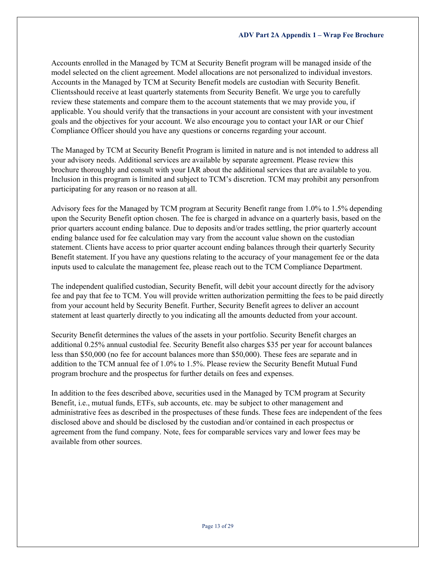Accounts enrolled in the Managed by TCM at Security Benefit program will be managed inside of the model selected on the client agreement. Model allocations are not personalized to individual investors. Accounts in the Managed by TCM at Security Benefit models are custodian with Security Benefit. Clientsshould receive at least quarterly statements from Security Benefit. We urge you to carefully review these statements and compare them to the account statements that we may provide you, if applicable. You should verify that the transactions in your account are consistent with your investment goals and the objectives for your account. We also encourage you to contact your IAR or our Chief Compliance Officer should you have any questions or concerns regarding your account.

The Managed by TCM at Security Benefit Program is limited in nature and is not intended to address all your advisory needs. Additional services are available by separate agreement. Please review this brochure thoroughly and consult with your IAR about the additional services that are available to you. Inclusion in this program is limited and subject to TCM's discretion. TCM may prohibit any personfrom participating for any reason or no reason at all.

Advisory fees for the Managed by TCM program at Security Benefit range from 1.0% to 1.5% depending upon the Security Benefit option chosen. The fee is charged in advance on a quarterly basis, based on the prior quarters account ending balance. Due to deposits and/or trades settling, the prior quarterly account ending balance used for fee calculation may vary from the account value shown on the custodian statement. Clients have access to prior quarter account ending balances through their quarterly Security Benefit statement. If you have any questions relating to the accuracy of your management fee or the data inputs used to calculate the management fee, please reach out to the TCM Compliance Department.

The independent qualified custodian, Security Benefit, will debit your account directly for the advisory fee and pay that fee to TCM. You will provide written authorization permitting the fees to be paid directly from your account held by Security Benefit. Further, Security Benefit agrees to deliver an account statement at least quarterly directly to you indicating all the amounts deducted from your account.

Security Benefit determines the values of the assets in your portfolio. Security Benefit charges an additional 0.25% annual custodial fee. Security Benefit also charges \$35 per year for account balances less than \$50,000 (no fee for account balances more than \$50,000). These fees are separate and in addition to the TCM annual fee of 1.0% to 1.5%. Please review the Security Benefit Mutual Fund program brochure and the prospectus for further details on fees and expenses.

In addition to the fees described above, securities used in the Managed by TCM program at Security Benefit, i.e., mutual funds, ETFs, sub accounts, etc. may be subject to other management and administrative fees as described in the prospectuses of these funds. These fees are independent of the fees disclosed above and should be disclosed by the custodian and/or contained in each prospectus or agreement from the fund company. Note, fees for comparable services vary and lower fees may be available from other sources.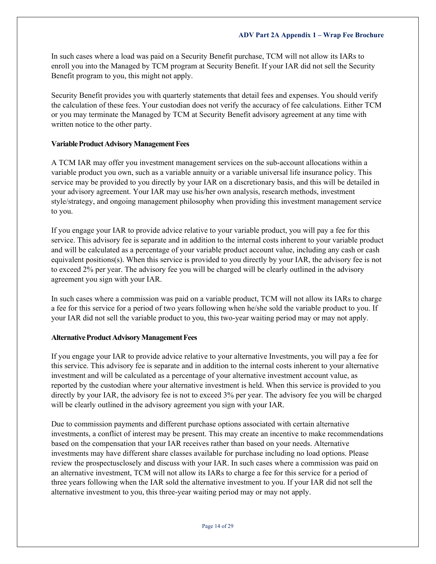In such cases where a load was paid on a Security Benefit purchase, TCM will not allow its IARs to enroll you into the Managed by TCM program at Security Benefit. If your IAR did not sell the Security Benefit program to you, this might not apply.

Security Benefit provides you with quarterly statements that detail fees and expenses. You should verify the calculation of these fees. Your custodian does not verify the accuracy of fee calculations. Either TCM or you may terminate the Managed by TCM at Security Benefit advisory agreement at any time with written notice to the other party.

## **Variable Product Advisory Management Fees**

A TCM IAR may offer you investment management services on the sub-account allocations within a variable product you own, such as a variable annuity or a variable universal life insurance policy. This service may be provided to you directly by your IAR on a discretionary basis, and this will be detailed in your advisory agreement. Your IAR may use his/her own analysis, research methods, investment style/strategy, and ongoing management philosophy when providing this investment management service to you.

If you engage your IAR to provide advice relative to your variable product, you will pay a fee for this service. This advisory fee is separate and in addition to the internal costs inherent to your variable product and will be calculated as a percentage of your variable product account value, including any cash or cash equivalent positions(s). When this service is provided to you directly by your IAR, the advisory fee is not to exceed 2% per year. The advisory fee you will be charged will be clearly outlined in the advisory agreement you sign with your IAR.

In such cases where a commission was paid on a variable product, TCM will not allow its IARs to charge a fee for this service for a period of two years following when he/she sold the variable product to you. If your IAR did not sell the variable product to you, this two-year waiting period may or may not apply.

## **Alternative Product Advisory Management Fees**

If you engage your IAR to provide advice relative to your alternative Investments, you will pay a fee for this service. This advisory fee is separate and in addition to the internal costs inherent to your alternative investment and will be calculated as a percentage of your alternative investment account value, as reported by the custodian where your alternative investment is held. When this service is provided to you directly by your IAR, the advisory fee is not to exceed 3% per year. The advisory fee you will be charged will be clearly outlined in the advisory agreement you sign with your IAR.

Due to commission payments and different purchase options associated with certain alternative investments, a conflict of interest may be present. This may create an incentive to make recommendations based on the compensation that your IAR receives rather than based on your needs. Alternative investments may have different share classes available for purchase including no load options. Please review the prospectusclosely and discuss with your IAR. In such cases where a commission was paid on an alternative investment, TCM will not allow its IARs to charge a fee for this service for a period of three years following when the IAR sold the alternative investment to you. If your IAR did not sell the alternative investment to you, this three-year waiting period may or may not apply.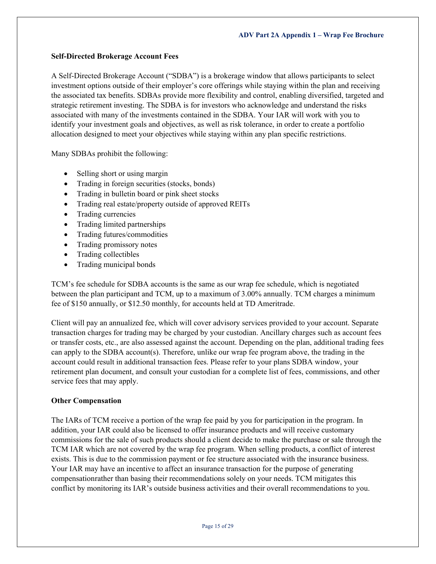### **Self-Directed Brokerage Account Fees**

A Self-Directed Brokerage Account ("SDBA") is a brokerage window that allows participants to select investment options outside of their employer's core offerings while staying within the plan and receiving the associated tax benefits. SDBAs provide more flexibility and control, enabling diversified, targeted and strategic retirement investing. The SDBA is for investors who acknowledge and understand the risks associated with many of the investments contained in the SDBA. Your IAR will work with you to identify your investment goals and objectives, as well as risk tolerance, in order to create a portfolio allocation designed to meet your objectives while staying within any plan specific restrictions.

Many SDBAs prohibit the following:

- Selling short or using margin
- Trading in foreign securities (stocks, bonds)
- Trading in bulletin board or pink sheet stocks
- Trading real estate/property outside of approved REITs
- Trading currencies
- Trading limited partnerships
- Trading futures/commodities
- Trading promissory notes
- Trading collectibles
- Trading municipal bonds

TCM's fee schedule for SDBA accounts is the same as our wrap fee schedule, which is negotiated between the plan participant and TCM, up to a maximum of 3.00% annually. TCM charges a minimum fee of \$150 annually, or \$12.50 monthly, for accounts held at TD Ameritrade.

Client will pay an annualized fee, which will cover advisory services provided to your account. Separate transaction charges for trading may be charged by your custodian. Ancillary charges such as account fees or transfer costs, etc., are also assessed against the account. Depending on the plan, additional trading fees can apply to the SDBA account(s). Therefore, unlike our wrap fee program above, the trading in the account could result in additional transaction fees. Please refer to your plans SDBA window, your retirement plan document, and consult your custodian for a complete list of fees, commissions, and other service fees that may apply.

#### **Other Compensation**

The IARs of TCM receive a portion of the wrap fee paid by you for participation in the program. In addition, your IAR could also be licensed to offer insurance products and will receive customary commissions for the sale of such products should a client decide to make the purchase or sale through the TCM IAR which are not covered by the wrap fee program. When selling products, a conflict of interest exists. This is due to the commission payment or fee structure associated with the insurance business. Your IAR may have an incentive to affect an insurance transaction for the purpose of generating compensationrather than basing their recommendations solely on your needs. TCM mitigates this conflict by monitoring its IAR's outside business activities and their overall recommendations to you.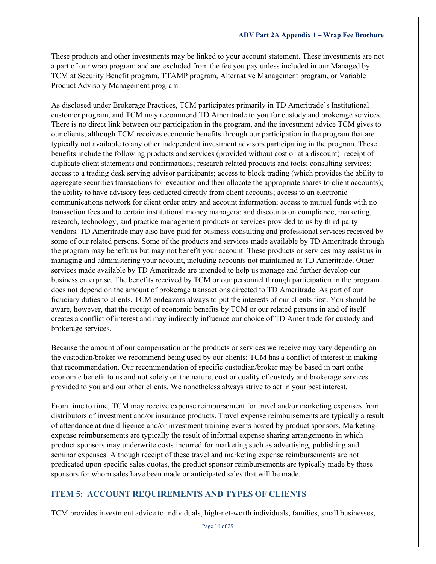These products and other investments may be linked to your account statement. These investments are not a part of our wrap program and are excluded from the fee you pay unless included in our Managed by TCM at Security Benefit program, TTAMP program, Alternative Management program, or Variable Product Advisory Management program.

As disclosed under Brokerage Practices, TCM participates primarily in TD Ameritrade's Institutional customer program, and TCM may recommend TD Ameritrade to you for custody and brokerage services. There is no direct link between our participation in the program, and the investment advice TCM gives to our clients, although TCM receives economic benefits through our participation in the program that are typically not available to any other independent investment advisors participating in the program. These benefits include the following products and services (provided without cost or at a discount): receipt of duplicate client statements and confirmations; research related products and tools; consulting services; access to a trading desk serving advisor participants; access to block trading (which provides the ability to aggregate securities transactions for execution and then allocate the appropriate shares to client accounts); the ability to have advisory fees deducted directly from client accounts; access to an electronic communications network for client order entry and account information; access to mutual funds with no transaction fees and to certain institutional money managers; and discounts on compliance, marketing, research, technology, and practice management products or services provided to us by third party vendors. TD Ameritrade may also have paid for business consulting and professional services received by some of our related persons. Some of the products and services made available by TD Ameritrade through the program may benefit us but may not benefit your account. These products or services may assist us in managing and administering your account, including accounts not maintained at TD Ameritrade. Other services made available by TD Ameritrade are intended to help us manage and further develop our business enterprise. The benefits received by TCM or our personnel through participation in the program does not depend on the amount of brokerage transactions directed to TD Ameritrade. As part of our fiduciary duties to clients, TCM endeavors always to put the interests of our clients first. You should be aware, however, that the receipt of economic benefits by TCM or our related persons in and of itself creates a conflict of interest and may indirectly influence our choice of TD Ameritrade for custody and brokerage services.

Because the amount of our compensation or the products or services we receive may vary depending on the custodian/broker we recommend being used by our clients; TCM has a conflict of interest in making that recommendation. Our recommendation of specific custodian/broker may be based in part onthe economic benefit to us and not solely on the nature, cost or quality of custody and brokerage services provided to you and our other clients. We nonetheless always strive to act in your best interest.

From time to time, TCM may receive expense reimbursement for travel and/or marketing expenses from distributors of investment and/or insurance products. Travel expense reimbursements are typically a result of attendance at due diligence and/or investment training events hosted by product sponsors. Marketingexpense reimbursements are typically the result of informal expense sharing arrangements in which product sponsors may underwrite costs incurred for marketing such as advertising, publishing and seminar expenses. Although receipt of these travel and marketing expense reimbursements are not predicated upon specific sales quotas, the product sponsor reimbursements are typically made by those sponsors for whom sales have been made or anticipated sales that will be made.

## <span id="page-15-0"></span>**ITEM 5: ACCOUNT REQUIREMENTS AND TYPES OF CLIENTS**

TCM provides investment advice to individuals, high-net-worth individuals, families, small businesses,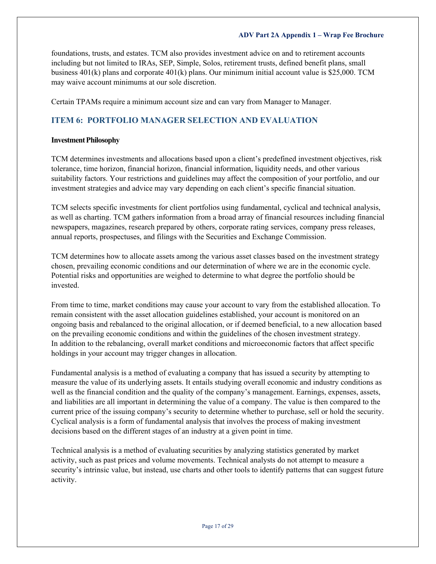foundations, trusts, and estates. TCM also provides investment advice on and to retirement accounts including but not limited to IRAs, SEP, Simple, Solos, retirement trusts, defined benefit plans, small business 401(k) plans and corporate 401(k) plans. Our minimum initial account value is \$25,000. TCM may waive account minimums at our sole discretion.

Certain TPAMs require a minimum account size and can vary from Manager to Manager.

## <span id="page-16-0"></span>**ITEM 6: PORTFOLIO MANAGER SELECTION AND EVALUATION**

#### **Investment Philosophy**

TCM determines investments and allocations based upon a client's predefined investment objectives, risk tolerance, time horizon, financial horizon, financial information, liquidity needs, and other various suitability factors. Your restrictions and guidelines may affect the composition of your portfolio, and our investment strategies and advice may vary depending on each client's specific financial situation.

TCM selects specific investments for client portfolios using fundamental, cyclical and technical analysis, as well as charting. TCM gathers information from a broad array of financial resources including financial newspapers, magazines, research prepared by others, corporate rating services, company press releases, annual reports, prospectuses, and filings with the Securities and Exchange Commission.

TCM determines how to allocate assets among the various asset classes based on the investment strategy chosen, prevailing economic conditions and our determination of where we are in the economic cycle. Potential risks and opportunities are weighed to determine to what degree the portfolio should be invested.

From time to time, market conditions may cause your account to vary from the established allocation. To remain consistent with the asset allocation guidelines established, your account is monitored on an ongoing basis and rebalanced to the original allocation, or if deemed beneficial, to a new allocation based on the prevailing economic conditions and within the guidelines of the chosen investment strategy. In addition to the rebalancing, overall market conditions and microeconomic factors that affect specific holdings in your account may trigger changes in allocation.

Fundamental analysis is a method of evaluating a company that has issued a security by attempting to measure the value of its underlying assets. It entails studying overall economic and industry conditions as well as the financial condition and the quality of the company's management. Earnings, expenses, assets, and liabilities are all important in determining the value of a company. The value is then compared to the current price of the issuing company's security to determine whether to purchase, sell or hold the security. Cyclical analysis is a form of fundamental analysis that involves the process of making investment decisions based on the different stages of an industry at a given point in time.

Technical analysis is a method of evaluating securities by analyzing statistics generated by market activity, such as past prices and volume movements. Technical analysts do not attempt to measure a security's intrinsic value, but instead, use charts and other tools to identify patterns that can suggest future activity.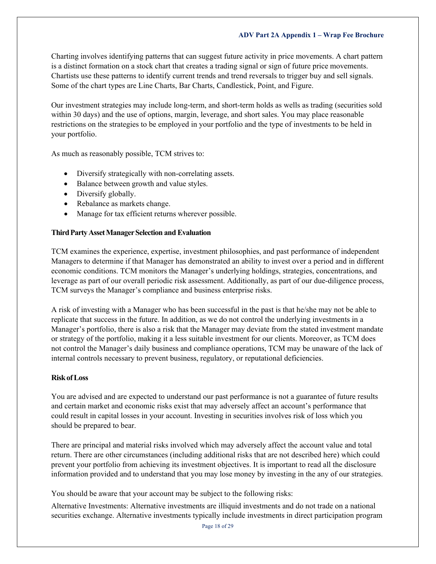Charting involves identifying patterns that can suggest future activity in price movements. A chart pattern is a distinct formation on a stock chart that creates a trading signal or sign of future price movements. Chartists use these patterns to identify current trends and trend reversals to trigger buy and sell signals. Some of the chart types are Line Charts, Bar Charts, Candlestick, Point, and Figure.

Our investment strategies may include long-term, and short-term holds as wells as trading (securities sold within 30 days) and the use of options, margin, leverage, and short sales. You may place reasonable restrictions on the strategies to be employed in your portfolio and the type of investments to be held in your portfolio.

As much as reasonably possible, TCM strives to:

- Diversify strategically with non-correlating assets.
- Balance between growth and value styles.
- Diversify globally.
- Rebalance as markets change.
- Manage for tax efficient returns wherever possible.

#### **ThirdPartyAssetManagerSelection and Evaluation**

TCM examines the experience, expertise, investment philosophies, and past performance of independent Managers to determine if that Manager has demonstrated an ability to invest over a period and in different economic conditions. TCM monitors the Manager's underlying holdings, strategies, concentrations, and leverage as part of our overall periodic risk assessment. Additionally, as part of our due-diligence process, TCM surveys the Manager's compliance and business enterprise risks.

A risk of investing with a Manager who has been successful in the past is that he/she may not be able to replicate that success in the future. In addition, as we do not control the underlying investments in a Manager's portfolio, there is also a risk that the Manager may deviate from the stated investment mandate or strategy of the portfolio, making it a less suitable investment for our clients. Moreover, as TCM does not control the Manager's daily business and compliance operations, TCM may be unaware of the lack of internal controls necessary to prevent business, regulatory, or reputational deficiencies.

#### **RiskofLoss**

You are advised and are expected to understand our past performance is not a guarantee of future results and certain market and economic risks exist that may adversely affect an account's performance that could result in capital losses in your account. Investing in securities involves risk of loss which you should be prepared to bear.

There are principal and material risks involved which may adversely affect the account value and total return. There are other circumstances (including additional risks that are not described here) which could prevent your portfolio from achieving its investment objectives. It is important to read all the disclosure information provided and to understand that you may lose money by investing in the any of our strategies.

You should be aware that your account may be subject to the following risks:

Alternative Investments: Alternative investments are illiquid investments and do not trade on a national securities exchange. Alternative investments typically include investments in direct participation program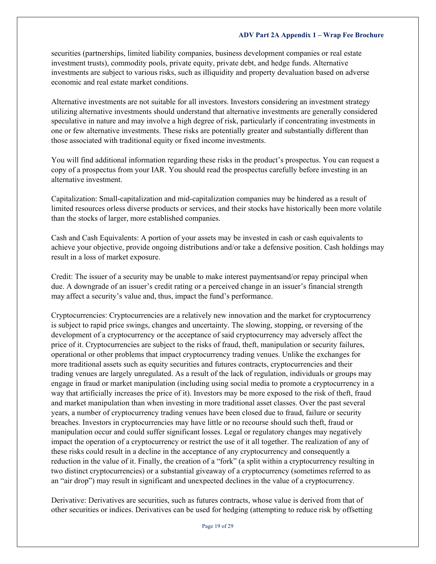securities (partnerships, limited liability companies, business development companies or real estate investment trusts), commodity pools, private equity, private debt, and hedge funds. Alternative investments are subject to various risks, such as illiquidity and property devaluation based on adverse economic and real estate market conditions.

Alternative investments are not suitable for all investors. Investors considering an investment strategy utilizing alternative investments should understand that alternative investments are generally considered speculative in nature and may involve a high degree of risk, particularly if concentrating investments in one or few alternative investments. These risks are potentially greater and substantially different than those associated with traditional equity or fixed income investments.

You will find additional information regarding these risks in the product's prospectus. You can request a copy of a prospectus from your IAR. You should read the prospectus carefully before investing in an alternative investment.

Capitalization: Small-capitalization and mid-capitalization companies may be hindered as a result of limited resources orless diverse products or services, and their stocks have historically been more volatile than the stocks of larger, more established companies.

Cash and Cash Equivalents: A portion of your assets may be invested in cash or cash equivalents to achieve your objective, provide ongoing distributions and/or take a defensive position. Cash holdings may result in a loss of market exposure.

Credit: The issuer of a security may be unable to make interest paymentsand/or repay principal when due. A downgrade of an issuer's credit rating or a perceived change in an issuer's financial strength may affect a security's value and, thus, impact the fund's performance.

Cryptocurrencies: Cryptocurrencies are a relatively new innovation and the market for cryptocurrency is subject to rapid price swings, changes and uncertainty. The slowing, stopping, or reversing of the development of a cryptocurrency or the acceptance of said cryptocurrency may adversely affect the price of it. Cryptocurrencies are subject to the risks of fraud, theft, manipulation or security failures, operational or other problems that impact cryptocurrency trading venues. Unlike the exchanges for more traditional assets such as equity securities and futures contracts, cryptocurrencies and their trading venues are largely unregulated. As a result of the lack of regulation, individuals or groups may engage in fraud or market manipulation (including using social media to promote a cryptocurrency in a way that artificially increases the price of it). Investors may be more exposed to the risk of theft, fraud and market manipulation than when investing in more traditional asset classes. Over the past several years, a number of cryptocurrency trading venues have been closed due to fraud, failure or security breaches. Investors in cryptocurrencies may have little or no recourse should such theft, fraud or manipulation occur and could suffer significant losses. Legal or regulatory changes may negatively impact the operation of a cryptocurrency or restrict the use of it all together. The realization of any of these risks could result in a decline in the acceptance of any cryptocurrency and consequently a reduction in the value of it. Finally, the creation of a "fork" (a split within a cryptocurrency resulting in two distinct cryptocurrencies) or a substantial giveaway of a cryptocurrency (sometimes referred to as an "air drop") may result in significant and unexpected declines in the value of a cryptocurrency.

Derivative: Derivatives are securities, such as futures contracts, whose value is derived from that of other securities or indices. Derivatives can be used for hedging (attempting to reduce risk by offsetting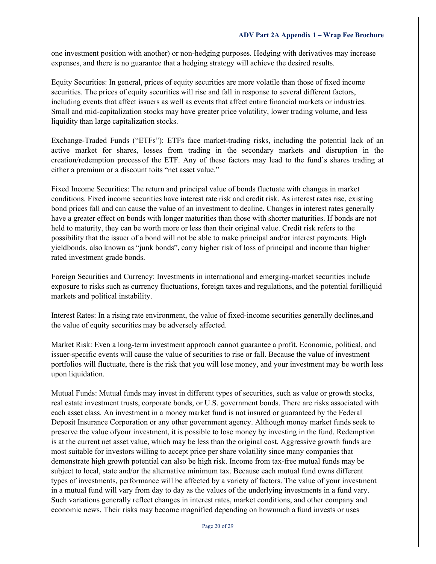one investment position with another) or non-hedging purposes. Hedging with derivatives may increase expenses, and there is no guarantee that a hedging strategy will achieve the desired results.

Equity Securities: In general, prices of equity securities are more volatile than those of fixed income securities. The prices of equity securities will rise and fall in response to several different factors, including events that affect issuers as well as events that affect entire financial markets or industries. Small and mid-capitalization stocks may have greater price volatility, lower trading volume, and less liquidity than large capitalization stocks.

Exchange-Traded Funds ("ETFs"): ETFs face market-trading risks, including the potential lack of an active market for shares, losses from trading in the secondary markets and disruption in the creation/redemption process of the ETF. Any of these factors may lead to the fund's shares trading at either a premium or a discount toits "net asset value."

Fixed Income Securities: The return and principal value of bonds fluctuate with changes in market conditions. Fixed income securities have interest rate risk and credit risk. As interest rates rise, existing bond prices fall and can cause the value of an investment to decline. Changes in interest rates generally have a greater effect on bonds with longer maturities than those with shorter maturities. If bonds are not held to maturity, they can be worth more or less than their original value. Credit risk refers to the possibility that the issuer of a bond will not be able to make principal and/or interest payments. High yieldbonds, also known as "junk bonds", carry higher risk of loss of principal and income than higher rated investment grade bonds.

Foreign Securities and Currency: Investments in international and emerging-market securities include exposure to risks such as currency fluctuations, foreign taxes and regulations, and the potential forilliquid markets and political instability.

Interest Rates: In a rising rate environment, the value of fixed-income securities generally declines,and the value of equity securities may be adversely affected.

Market Risk: Even a long-term investment approach cannot guarantee a profit. Economic, political, and issuer-specific events will cause the value of securities to rise or fall. Because the value of investment portfolios will fluctuate, there is the risk that you will lose money, and your investment may be worth less upon liquidation.

Mutual Funds: Mutual funds may invest in different types of securities, such as value or growth stocks, real estate investment trusts, corporate bonds, or U.S. government bonds. There are risks associated with each asset class. An investment in a money market fund is not insured or guaranteed by the Federal Deposit Insurance Corporation or any other government agency. Although money market funds seek to preserve the value ofyour investment, it is possible to lose money by investing in the fund. Redemption is at the current net asset value, which may be less than the original cost. Aggressive growth funds are most suitable for investors willing to accept price per share volatility since many companies that demonstrate high growth potential can also be high risk. Income from tax-free mutual funds may be subject to local, state and/or the alternative minimum tax. Because each mutual fund owns different types of investments, performance will be affected by a variety of factors. The value of your investment in a mutual fund will vary from day to day as the values of the underlying investments in a fund vary. Such variations generally reflect changes in interest rates, market conditions, and other company and economic news. Their risks may become magnified depending on howmuch a fund invests or uses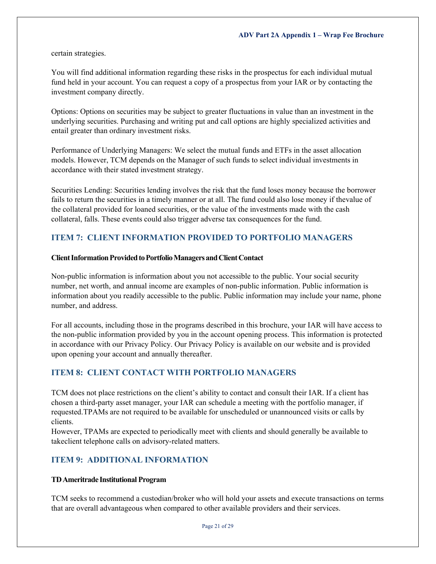certain strategies.

You will find additional information regarding these risks in the prospectus for each individual mutual fund held in your account. You can request a copy of a prospectus from your IAR or by contacting the investment company directly.

Options: Options on securities may be subject to greater fluctuations in value than an investment in the underlying securities. Purchasing and writing put and call options are highly specialized activities and entail greater than ordinary investment risks.

Performance of Underlying Managers: We select the mutual funds and ETFs in the asset allocation models. However, TCM depends on the Manager of such funds to select individual investments in accordance with their stated investment strategy.

Securities Lending: Securities lending involves the risk that the fund loses money because the borrower fails to return the securities in a timely manner or at all. The fund could also lose money if thevalue of the collateral provided for loaned securities, or the value of the investments made with the cash collateral, falls. These events could also trigger adverse tax consequences for the fund.

## <span id="page-20-0"></span>**ITEM 7: CLIENT INFORMATION PROVIDED TO PORTFOLIO MANAGERS**

#### **Client Information Provided to Portfolio Managers and Client Contact**

Non-public information is information about you not accessible to the public. Your social security number, net worth, and annual income are examples of non-public information. Public information is information about you readily accessible to the public. Public information may include your name, phone number, and address.

For all accounts, including those in the programs described in this brochure, your IAR will have access to the non-public information provided by you in the account opening process. This information is protected in accordance with our Privacy Policy. Our Privacy Policy is available on our [website a](http://www.triumphcapitalmanagement.com/)nd is provided upon opening your account and annually thereafter.

## <span id="page-20-1"></span>**ITEM 8: CLIENT CONTACT WITH PORTFOLIO MANAGERS**

TCM does not place restrictions on the client's ability to contact and consult their IAR. If a client has chosen a third-party asset manager, your IAR can schedule a meeting with the portfolio manager, if requested.TPAMs are not required to be available for unscheduled or unannounced visits or calls by clients.

However, TPAMs are expected to periodically meet with clients and should generally be available to takeclient telephone calls on advisory-related matters.

## <span id="page-20-2"></span>**ITEM 9: ADDITIONAL INFORMATION**

#### **TDAmeritrade Institutional Program**

TCM seeks to recommend a custodian/broker who will hold your assets and execute transactions on terms that are overall advantageous when compared to other available providers and their services.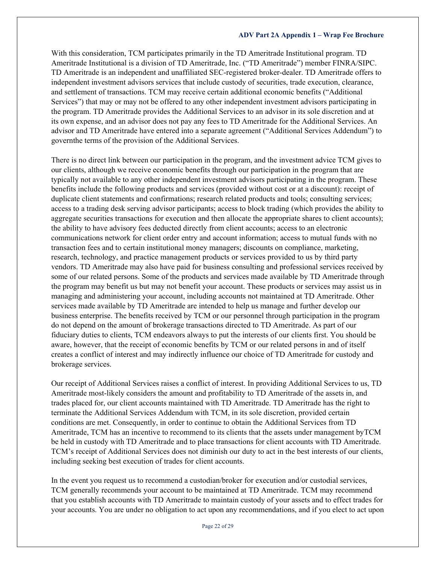With this consideration, TCM participates primarily in the TD Ameritrade Institutional program. TD Ameritrade Institutional is a division of TD Ameritrade, Inc. ("TD Ameritrade") member FINRA/SIPC. TD Ameritrade is an independent and unaffiliated SEC-registered broker-dealer. TD Ameritrade offers to independent investment advisors services that include custody of securities, trade execution, clearance, and settlement of transactions. TCM may receive certain additional economic benefits ("Additional Services") that may or may not be offered to any other independent investment advisors participating in the program. TD Ameritrade provides the Additional Services to an advisor in its sole discretion and at its own expense, and an advisor does not pay any fees to TD Ameritrade for the Additional Services. An advisor and TD Ameritrade have entered into a separate agreement ("Additional Services Addendum") to governthe terms of the provision of the Additional Services.

There is no direct link between our participation in the program, and the investment advice TCM gives to our clients, although we receive economic benefits through our participation in the program that are typically not available to any other independent investment advisors participating in the program. These benefits include the following products and services (provided without cost or at a discount): receipt of duplicate client statements and confirmations; research related products and tools; consulting services; access to a trading desk serving advisor participants; access to block trading (which provides the ability to aggregate securities transactions for execution and then allocate the appropriate shares to client accounts); the ability to have advisory fees deducted directly from client accounts; access to an electronic communications network for client order entry and account information; access to mutual funds with no transaction fees and to certain institutional money managers; discounts on compliance, marketing, research, technology, and practice management products or services provided to us by third party vendors. TD Ameritrade may also have paid for business consulting and professional services received by some of our related persons. Some of the products and services made available by TD Ameritrade through the program may benefit us but may not benefit your account. These products or services may assist us in managing and administering your account, including accounts not maintained at TD Ameritrade. Other services made available by TD Ameritrade are intended to help us manage and further develop our business enterprise. The benefits received by TCM or our personnel through participation in the program do not depend on the amount of brokerage transactions directed to TD Ameritrade. As part of our fiduciary duties to clients, TCM endeavors always to put the interests of our clients first. You should be aware, however, that the receipt of economic benefits by TCM or our related persons in and of itself creates a conflict of interest and may indirectly influence our choice of TD Ameritrade for custody and brokerage services.

Our receipt of Additional Services raises a conflict of interest. In providing Additional Services to us, TD Ameritrade most-likely considers the amount and profitability to TD Ameritrade of the assets in, and trades placed for, our client accounts maintained with TD Ameritrade. TD Ameritrade has the right to terminate the Additional Services Addendum with TCM, in its sole discretion, provided certain conditions are met. Consequently, in order to continue to obtain the Additional Services from TD Ameritrade, TCM has an incentive to recommend to its clients that the assets under management byTCM be held in custody with TD Ameritrade and to place transactions for client accounts with TD Ameritrade. TCM's receipt of Additional Services does not diminish our duty to act in the best interests of our clients, including seeking best execution of trades for client accounts.

In the event you request us to recommend a custodian/broker for execution and/or custodial services, TCM generally recommends your account to be maintained at TD Ameritrade. TCM may recommend that you establish accounts with TD Ameritrade to maintain custody of your assets and to effect trades for your accounts. You are under no obligation to act upon any recommendations, and if you elect to act upon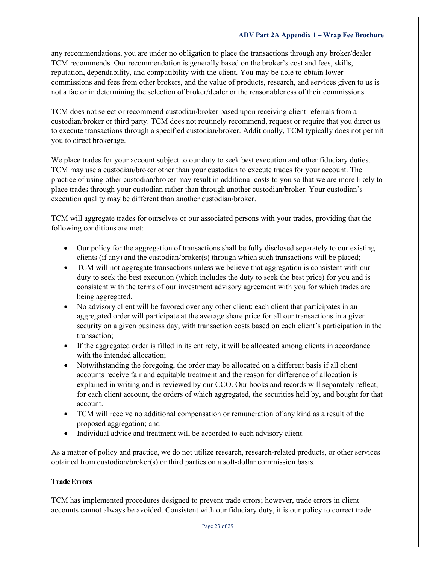any recommendations, you are under no obligation to place the transactions through any broker/dealer TCM recommends. Our recommendation is generally based on the broker's cost and fees, skills, reputation, dependability, and compatibility with the client. You may be able to obtain lower commissions and fees from other brokers, and the value of products, research, and services given to us is not a factor in determining the selection of broker/dealer or the reasonableness of their commissions.

TCM does not select or recommend custodian/broker based upon receiving client referrals from a custodian/broker or third party. TCM does not routinely recommend, request or require that you direct us to execute transactions through a specified custodian/broker. Additionally, TCM typically does not permit you to direct brokerage.

We place trades for your account subject to our duty to seek best execution and other fiduciary duties. TCM may use a custodian/broker other than your custodian to execute trades for your account. The practice of using other custodian/broker may result in additional costs to you so that we are more likely to place trades through your custodian rather than through another custodian/broker. Your custodian's execution quality may be different than another custodian/broker.

TCM will aggregate trades for ourselves or our associated persons with your trades, providing that the following conditions are met:

- Our policy for the aggregation of transactions shall be fully disclosed separately to our existing clients (if any) and the custodian/broker(s) through which such transactions will be placed;
- TCM will not aggregate transactions unless we believe that aggregation is consistent with our duty to seek the best execution (which includes the duty to seek the best price) for you and is consistent with the terms of our investment advisory agreement with you for which trades are being aggregated.
- No advisory client will be favored over any other client; each client that participates in an aggregated order will participate at the average share price for all our transactions in a given security on a given business day, with transaction costs based on each client's participation in the transaction;
- If the aggregated order is filled in its entirety, it will be allocated among clients in accordance with the intended allocation;
- Notwithstanding the foregoing, the order may be allocated on a different basis if all client accounts receive fair and equitable treatment and the reason for difference of allocation is explained in writing and is reviewed by our CCO. Our books and records will separately reflect, for each client account, the orders of which aggregated, the securities held by, and bought for that account.
- TCM will receive no additional compensation or remuneration of any kind as a result of the proposed aggregation; and
- Individual advice and treatment will be accorded to each advisory client.

As a matter of policy and practice, we do not utilize research, research-related products, or other services obtained from custodian/broker(s) or third parties on a soft-dollar commission basis.

## **TradeErrors**

TCM has implemented procedures designed to prevent trade errors; however, trade errors in client accounts cannot always be avoided. Consistent with our fiduciary duty, it is our policy to correct trade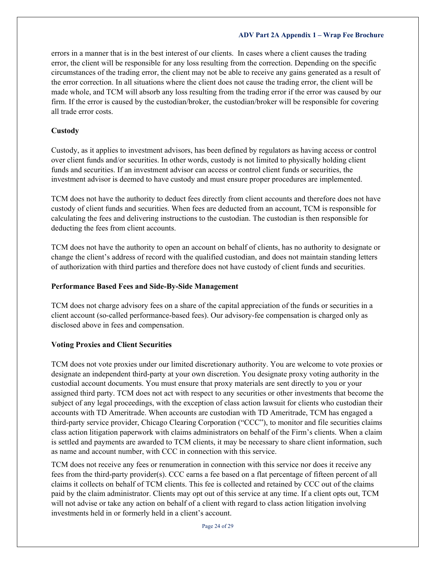errors in a manner that is in the best interest of our clients. In cases where a client causes the trading error, the client will be responsible for any loss resulting from the correction. Depending on the specific circumstances of the trading error, the client may not be able to receive any gains generated as a result of the error correction. In all situations where the client does not cause the trading error, the client will be made whole, and TCM will absorb any loss resulting from the trading error if the error was caused by our firm. If the error is caused by the custodian/broker, the custodian/broker will be responsible for covering all trade error costs.

#### **Custody**

Custody, as it applies to investment advisors, has been defined by regulators as having access or control over client funds and/or securities. In other words, custody is not limited to physically holding client funds and securities. If an investment advisor can access or control client funds or securities, the investment advisor is deemed to have custody and must ensure proper procedures are implemented.

TCM does not have the authority to deduct fees directly from client accounts and therefore does not have custody of client funds and securities. When fees are deducted from an account, TCM is responsible for calculating the fees and delivering instructions to the custodian. The custodian is then responsible for deducting the fees from client accounts.

TCM does not have the authority to open an account on behalf of clients, has no authority to designate or change the client's address of record with the qualified custodian, and does not maintain standing letters of authorization with third parties and therefore does not have custody of client funds and securities.

#### **Performance Based Fees and Side-By-Side Management**

TCM does not charge advisory fees on a share of the capital appreciation of the funds or securities in a client account (so-called performance-based fees). Our advisory-fee compensation is charged only as disclosed above in fees and compensation.

## **Voting Proxies and Client Securities**

TCM does not vote proxies under our limited discretionary authority. You are welcome to vote proxies or designate an independent third-party at your own discretion. You designate proxy voting authority in the custodial account documents. You must ensure that proxy materials are sent directly to you or your assigned third party. TCM does not act with respect to any securities or other investments that become the subject of any legal proceedings, with the exception of class action lawsuit for clients who custodian their accounts with TD Ameritrade. When accounts are custodian with TD Ameritrade, TCM has engaged a third-party service provider, Chicago Clearing Corporation ("CCC"), to monitor and file securities claims class action litigation paperwork with claims administrators on behalf of the Firm's clients. When a claim is settled and payments are awarded to TCM clients, it may be necessary to share client information, such as name and account number, with CCC in connection with this service.

TCM does not receive any fees or renumeration in connection with this service nor does it receive any fees from the third-party provider(s). CCC earns a fee based on a flat percentage of fifteen percent of all claims it collects on behalf of TCM clients. This fee is collected and retained by CCC out of the claims paid by the claim administrator. Clients may opt out of this service at any time. If a client opts out, TCM will not advise or take any action on behalf of a client with regard to class action litigation involving investments held in or formerly held in a client's account.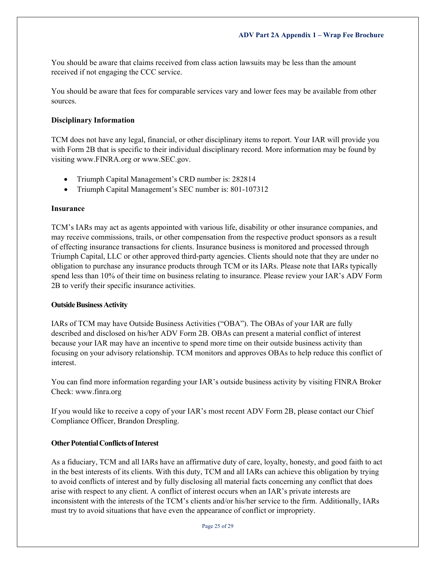You should be aware that claims received from class action lawsuits may be less than the amount received if not engaging the CCC service.

You should be aware that fees for comparable services vary and lower fees may be available from other sources.

#### **Disciplinary Information**

TCM does not have any legal, financial, or other disciplinary items to report. Your IAR will provide you with Form 2B that is specific to their individual disciplinary record. More information may be found by visiting [www.FINRA.org](http://www.finra.org/) or [www.SEC.gov.](http://www.sec.gov/)

- Triumph Capital Management's CRD number is: 282814
- Triumph Capital Management's SEC number is: 801-107312

#### **Insurance**

TCM's IARs may act as agents appointed with various life, disability or other insurance companies, and may receive commissions, trails, or other compensation from the respective product sponsors as a result of effecting insurance transactions for clients. Insurance business is monitored and processed through Triumph Capital, LLC or other approved third-party agencies. Clients should note that they are under no obligation to purchase any insurance products through TCM or its IARs. Please note that IARs typically spend less than 10% of their time on business relating to insurance. Please review your IAR's ADV Form 2B to verify their specific insurance activities.

#### **Outside Business Activity**

IARs of TCM may have Outside Business Activities ("OBA"). The OBAs of your IAR are fully described and disclosed on his/her ADV Form 2B. OBAs can present a material conflict of interest because your IAR may have an incentive to spend more time on their outside business activity than focusing on your advisory relationship. TCM monitors and approves OBAs to help reduce this conflict of interest.

You can find more information regarding your IAR's outside business activity by visiting FINRA Broker Check: [www.finra.org](http://www.finra.org/)

If you would like to receive a copy of your IAR's most recent ADV Form 2B, please contact our Chief Compliance Officer, Brandon Drespling.

#### **Other Potential Conflicts of Interest**

As a fiduciary, TCM and all IARs have an affirmative duty of care, loyalty, honesty, and good faith to act in the best interests of its clients. With this duty, TCM and all IARs can achieve this obligation by trying to avoid conflicts of interest and by fully disclosing all material facts concerning any conflict that does arise with respect to any client. A conflict of interest occurs when an IAR's private interests are inconsistent with the interests of the TCM's clients and/or his/her service to the firm. Additionally, IARs must try to avoid situations that have even the appearance of conflict or impropriety.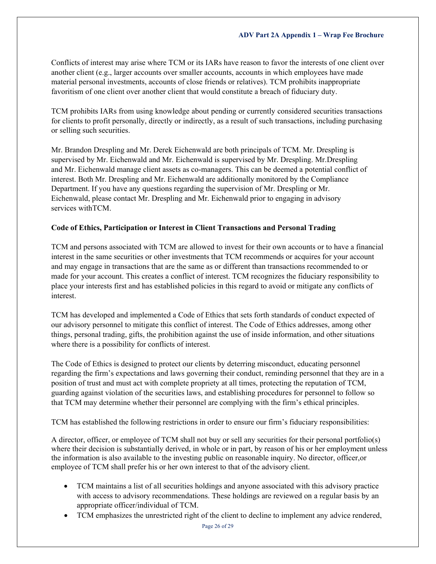Conflicts of interest may arise where TCM or its IARs have reason to favor the interests of one client over another client (e.g., larger accounts over smaller accounts, accounts in which employees have made material personal investments, accounts of close friends or relatives). TCM prohibits inappropriate favoritism of one client over another client that would constitute a breach of fiduciary duty.

TCM prohibits IARs from using knowledge about pending or currently considered securities transactions for clients to profit personally, directly or indirectly, as a result of such transactions, including purchasing or selling such securities.

Mr. Brandon Drespling and Mr. Derek Eichenwald are both principals of TCM. Mr. Drespling is supervised by Mr. Eichenwald and Mr. Eichenwald is supervised by Mr. Drespling. Mr.Drespling and Mr. Eichenwald manage client assets as co-managers. This can be deemed a potential conflict of interest. Both Mr. Drespling and Mr. Eichenwald are additionally monitored by the Compliance Department. If you have any questions regarding the supervision of Mr. Drespling or Mr. Eichenwald, please contact Mr. Drespling and Mr. Eichenwald prior to engaging in advisory services withTCM.

## **Code of Ethics, Participation or Interest in Client Transactions and Personal Trading**

TCM and persons associated with TCM are allowed to invest for their own accounts or to have a financial interest in the same securities or other investments that TCM recommends or acquires for your account and may engage in transactions that are the same as or different than transactions recommended to or made for your account. This creates a conflict of interest. TCM recognizes the fiduciary responsibility to place your interests first and has established policies in this regard to avoid or mitigate any conflicts of interest.

TCM has developed and implemented a Code of Ethics that sets forth standards of conduct expected of our advisory personnel to mitigate this conflict of interest. The Code of Ethics addresses, among other things, personal trading, gifts, the prohibition against the use of inside information, and other situations where there is a possibility for conflicts of interest.

The Code of Ethics is designed to protect our clients by deterring misconduct, educating personnel regarding the firm's expectations and laws governing their conduct, reminding personnel that they are in a position of trust and must act with complete propriety at all times, protecting the reputation of TCM, guarding against violation of the securities laws, and establishing procedures for personnel to follow so that TCM may determine whether their personnel are complying with the firm's ethical principles.

TCM has established the following restrictions in order to ensure our firm's fiduciary responsibilities:

A director, officer, or employee of TCM shall not buy or sell any securities for their personal portfolio(s) where their decision is substantially derived, in whole or in part, by reason of his or her employment unless the information is also available to the investing public on reasonable inquiry. No director, officer,or employee of TCM shall prefer his or her own interest to that of the advisory client.

- TCM maintains a list of all securities holdings and anyone associated with this advisory practice with access to advisory recommendations. These holdings are reviewed on a regular basis by an appropriate officer/individual of TCM.
- TCM emphasizes the unrestricted right of the client to decline to implement any advice rendered,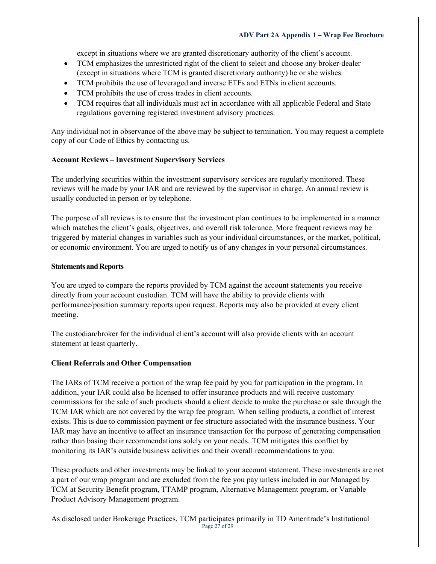except in situations where we are granted discretionary authority of the client's account.

- TCM emphasizes the unrestricted right of the client to select and choose any broker-dealer (except in situations where TCM is granted discretionary authority) he or she wishes.
- TCM prohibits the use of leveraged and inverse ETFs and ETNs in client accounts.
- TCM prohibits the use of cross trades in client accounts.
- TCM requires that all individuals must act in accordance with all applicable Federal and State regulations governing registered investment advisory practices.

Any individual not in observance of the above may be subject to termination. You may request a complete copy of our Code of Ethics by contacting us.

## **Account Reviews – Investment Supervisory Services**

The underlying securities within the investment supervisory services are regularly monitored. These reviews will be made by your IAR and are reviewed by the supervisor in charge. An annual review is usually conducted in person or by telephone.

The purpose of all reviews is to ensure that the investment plan continues to be implemented in a manner which matches the client's goals, objectives, and overall risk tolerance. More frequent reviews may be triggered by material changes in variables such as your individual circumstances, or the market, political, or economic environment. You are urged to notify us of any changes in your personal circumstances.

## **Statements and Reports**

You are urged to compare the reports provided by TCM against the account statements you receive directly from your account custodian. TCM will have the ability to provide clients with performance/position summary reports upon request. Reports may also be provided at every client meeting.

The custodian/broker for the individual client's account will also provide clients with an account statement at least quarterly.

## **Client Referrals and Other Compensation**

The IARs of TCM receive a portion of the wrap fee paid by you for participation in the program. In addition, your IAR could also be licensed to offer insurance products and will receive customary commissions for the sale of such products should a client decide to make the purchase or sale through the TCM IAR which are not covered by the wrap fee program. When selling products, a conflict of interest exists. This is due to commission payment or fee structure associated with the insurance business. Your IAR may have an incentive to affect an insurance transaction for the purpose of generating compensation rather than basing their recommendations solely on your needs. TCM mitigates this conflict by monitoring its IAR's outside business activities and their overall recommendations to you.

These products and other investments may be linked to your account statement. These investments are not a part of our wrap program and are excluded from the fee you pay unless included in our Managed by TCM at Security Benefit program, TTAMP program, Alternative Management program, or Variable Product Advisory Management program.

Page 27 of 29 As disclosed under Brokerage Practices, TCM participates primarily in TD Ameritrade's Institutional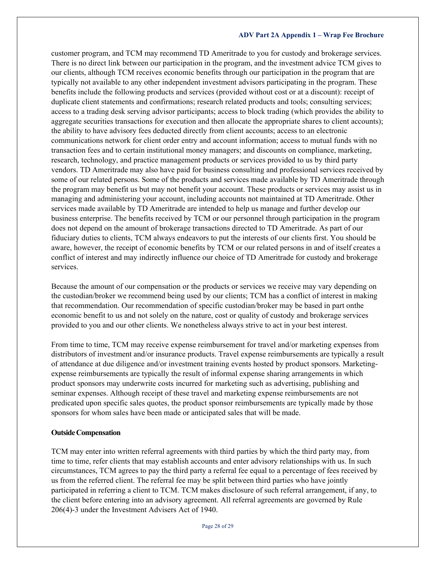customer program, and TCM may recommend TD Ameritrade to you for custody and brokerage services. There is no direct link between our participation in the program, and the investment advice TCM gives to our clients, although TCM receives economic benefits through our participation in the program that are typically not available to any other independent investment advisors participating in the program. These benefits include the following products and services (provided without cost or at a discount): receipt of duplicate client statements and confirmations; research related products and tools; consulting services; access to a trading desk serving advisor participants; access to block trading (which provides the ability to aggregate securities transactions for execution and then allocate the appropriate shares to client accounts); the ability to have advisory fees deducted directly from client accounts; access to an electronic communications network for client order entry and account information; access to mutual funds with no transaction fees and to certain institutional money managers; and discounts on compliance, marketing, research, technology, and practice management products or services provided to us by third party vendors. TD Ameritrade may also have paid for business consulting and professional services received by some of our related persons. Some of the products and services made available by TD Ameritrade through the program may benefit us but may not benefit your account. These products or services may assist us in managing and administering your account, including accounts not maintained at TD Ameritrade. Other services made available by TD Ameritrade are intended to help us manage and further develop our business enterprise. The benefits received by TCM or our personnel through participation in the program does not depend on the amount of brokerage transactions directed to TD Ameritrade. As part of our fiduciary duties to clients, TCM always endeavors to put the interests of our clients first. You should be aware, however, the receipt of economic benefits by TCM or our related persons in and of itself creates a conflict of interest and may indirectly influence our choice of TD Ameritrade for custody and brokerage services.

Because the amount of our compensation or the products or services we receive may vary depending on the custodian/broker we recommend being used by our clients; TCM has a conflict of interest in making that recommendation. Our recommendation of specific custodian/broker may be based in part onthe economic benefit to us and not solely on the nature, cost or quality of custody and brokerage services provided to you and our other clients. We nonetheless always strive to act in your best interest.

From time to time, TCM may receive expense reimbursement for travel and/or marketing expenses from distributors of investment and/or insurance products. Travel expense reimbursements are typically a result of attendance at due diligence and/or investment training events hosted by product sponsors. Marketingexpense reimbursements are typically the result of informal expense sharing arrangements in which product sponsors may underwrite costs incurred for marketing such as advertising, publishing and seminar expenses. Although receipt of these travel and marketing expense reimbursements are not predicated upon specific sales quotes, the product sponsor reimbursements are typically made by those sponsors for whom sales have been made or anticipated sales that will be made.

#### **OutsideCompensation**

TCM may enter into written referral agreements with third parties by which the third party may, from time to time, refer clients that may establish accounts and enter advisory relationships with us. In such circumstances, TCM agrees to pay the third party a referral fee equal to a percentage of fees received by us from the referred client. The referral fee may be split between third parties who have jointly participated in referring a client to TCM. TCM makes disclosure of such referral arrangement, if any, to the client before entering into an advisory agreement. All referral agreements are governed by Rule 206(4)-3 under the Investment Advisers Act of 1940.